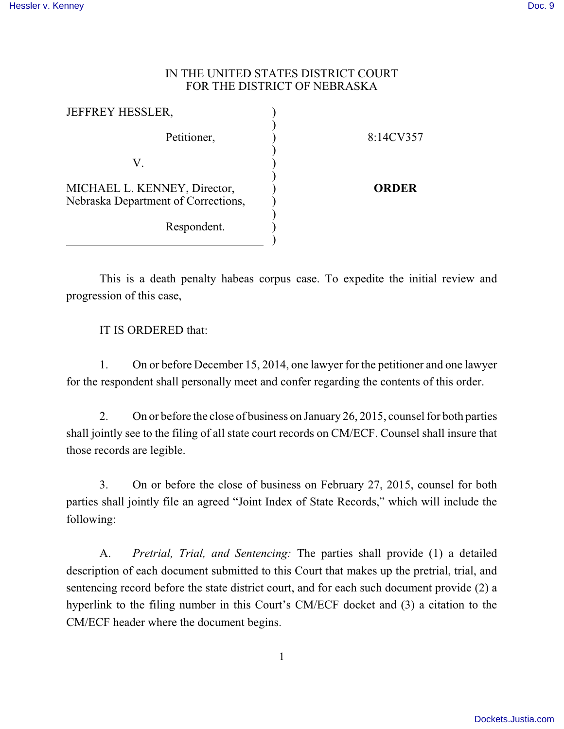## IN THE UNITED STATES DISTRICT COURT FOR THE DISTRICT OF NEBRASKA

| <b>JEFFREY HESSLER,</b>                                             |              |
|---------------------------------------------------------------------|--------------|
| Petitioner,                                                         | 8:14CV357    |
| V.                                                                  |              |
| MICHAEL L. KENNEY, Director,<br>Nebraska Department of Corrections, | <b>ORDER</b> |
| Respondent.                                                         |              |

This is a death penalty habeas corpus case. To expedite the initial review and progression of this case,

IT IS ORDERED that:

1. On or before December 15, 2014, one lawyer for the petitioner and one lawyer for the respondent shall personally meet and confer regarding the contents of this order.

2. On or before the close of business on January 26, 2015, counsel for both parties shall jointly see to the filing of all state court records on CM/ECF. Counsel shall insure that those records are legible.

3. On or before the close of business on February 27, 2015, counsel for both parties shall jointly file an agreed "Joint Index of State Records," which will include the following:

A. *Pretrial, Trial, and Sentencing:* The parties shall provide (1) a detailed description of each document submitted to this Court that makes up the pretrial, trial, and sentencing record before the state district court, and for each such document provide (2) a hyperlink to the filing number in this Court's CM/ECF docket and (3) a citation to the CM/ECF header where the document begins.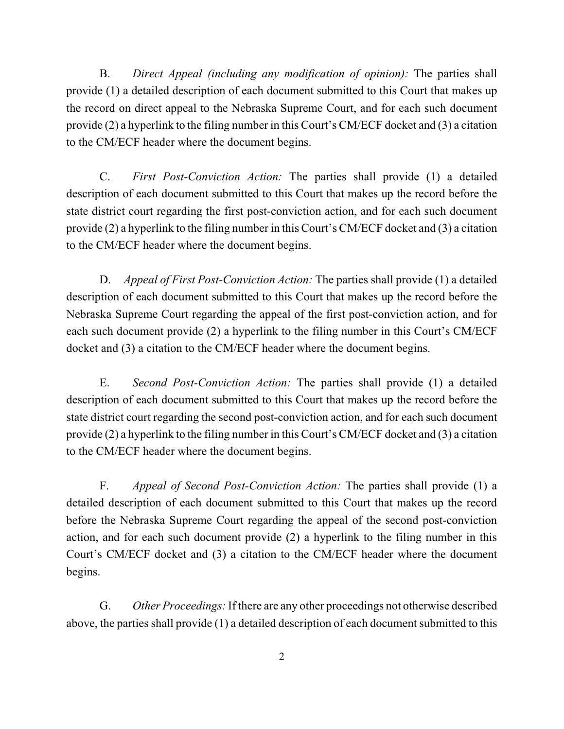B. *Direct Appeal (including any modification of opinion):* The parties shall provide (1) a detailed description of each document submitted to this Court that makes up the record on direct appeal to the Nebraska Supreme Court, and for each such document provide (2) a hyperlink to the filing number in this Court's CM/ECF docket and (3) a citation to the CM/ECF header where the document begins.

C. *First Post-Conviction Action:* The parties shall provide (1) a detailed description of each document submitted to this Court that makes up the record before the state district court regarding the first post-conviction action, and for each such document provide (2) a hyperlink to the filing number in this Court's CM/ECF docket and (3) a citation to the CM/ECF header where the document begins.

D. *Appeal of First Post-Conviction Action:* The parties shall provide (1) a detailed description of each document submitted to this Court that makes up the record before the Nebraska Supreme Court regarding the appeal of the first post-conviction action, and for each such document provide (2) a hyperlink to the filing number in this Court's CM/ECF docket and (3) a citation to the CM/ECF header where the document begins.

E. *Second Post-Conviction Action:* The parties shall provide (1) a detailed description of each document submitted to this Court that makes up the record before the state district court regarding the second post-conviction action, and for each such document provide (2) a hyperlink to the filing number in this Court's CM/ECF docket and (3) a citation to the CM/ECF header where the document begins.

F. *Appeal of Second Post-Conviction Action:* The parties shall provide (1) a detailed description of each document submitted to this Court that makes up the record before the Nebraska Supreme Court regarding the appeal of the second post-conviction action, and for each such document provide (2) a hyperlink to the filing number in this Court's CM/ECF docket and (3) a citation to the CM/ECF header where the document begins.

G. *Other Proceedings:* If there are any other proceedings not otherwise described above, the parties shall provide (1) a detailed description of each document submitted to this